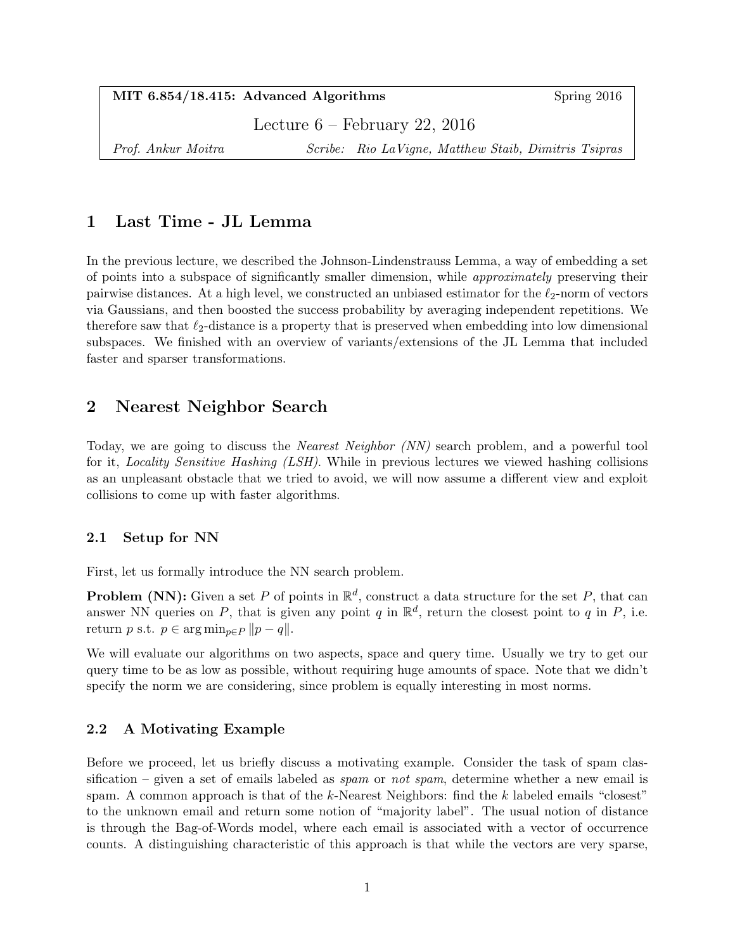|  |  |  | MIT 6.854/18.415: Advanced Algorithms |
|--|--|--|---------------------------------------|
|--|--|--|---------------------------------------|

Spring  $2016$ 

Lecture 6 – February 22, 2016

Prof. Ankur Moitra Scribe: Rio LaVigne, Matthew Staib, Dimitris Tsipras

# 1 Last Time - JL Lemma

In the previous lecture, we described the Johnson-Lindenstrauss Lemma, a way of embedding a set of points into a subspace of significantly smaller dimension, while approximately preserving their pairwise distances. At a high level, we constructed an unbiased estimator for the  $\ell_2$ -norm of vectors via Gaussians, and then boosted the success probability by averaging independent repetitions. We therefore saw that  $\ell_2$ -distance is a property that is preserved when embedding into low dimensional subspaces. We finished with an overview of variants/extensions of the JL Lemma that included faster and sparser transformations.

# 2 Nearest Neighbor Search

Today, we are going to discuss the Nearest Neighbor (NN) search problem, and a powerful tool for it, Locality Sensitive Hashing (LSH). While in previous lectures we viewed hashing collisions as an unpleasant obstacle that we tried to avoid, we will now assume a different view and exploit collisions to come up with faster algorithms.

### 2.1 Setup for NN

First, let us formally introduce the NN search problem.

**Problem (NN):** Given a set P of points in  $\mathbb{R}^d$ , construct a data structure for the set P, that can answer NN queries on P, that is given any point q in  $\mathbb{R}^d$ , return the closest point to q in P, i.e. return p s.t.  $p \in \arg \min_{p \in P} ||p - q||$ .

We will evaluate our algorithms on two aspects, space and query time. Usually we try to get our query time to be as low as possible, without requiring huge amounts of space. Note that we didn't specify the norm we are considering, since problem is equally interesting in most norms.

### 2.2 A Motivating Example

Before we proceed, let us briefly discuss a motivating example. Consider the task of spam classification – given a set of emails labeled as spam or not spam, determine whether a new email is spam. A common approach is that of the  $k$ -Nearest Neighbors: find the  $k$  labeled emails "closest" to the unknown email and return some notion of "majority label". The usual notion of distance is through the Bag-of-Words model, where each email is associated with a vector of occurrence counts. A distinguishing characteristic of this approach is that while the vectors are very sparse,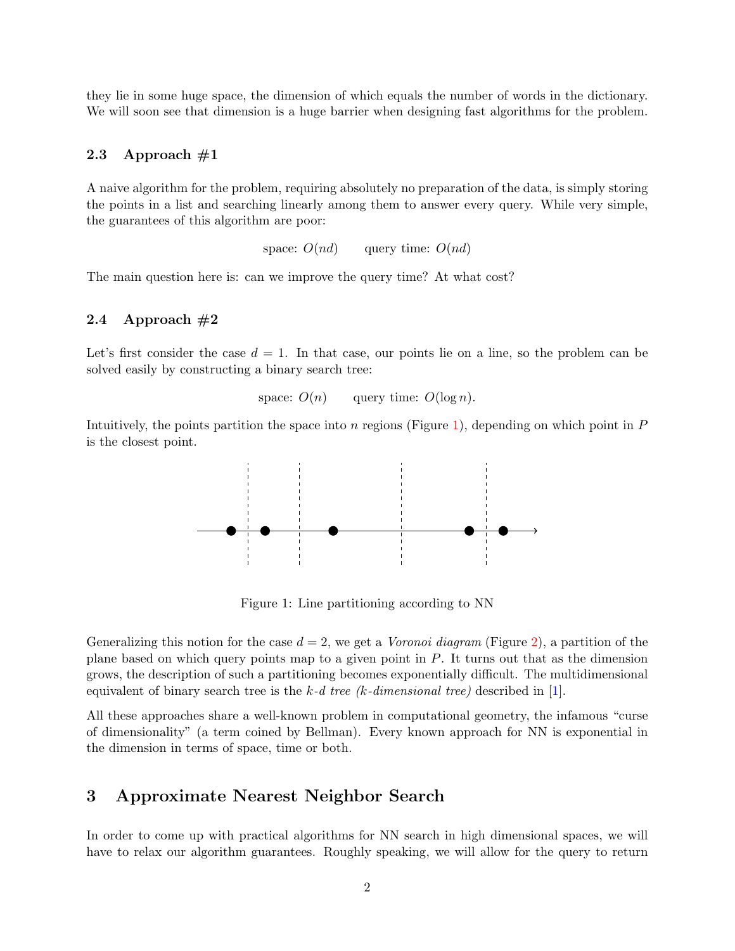they lie in some huge space, the dimension of which equals the number of words in the dictionary. We will soon see that dimension is a huge barrier when designing fast algorithms for the problem.

#### 2.3 Approach  $\#1$

A naive algorithm for the problem, requiring absolutely no preparation of the data, is simply storing the points in a list and searching linearly among them to answer every query. While very simple, the guarantees of this algorithm are poor:

space:  $O(nd)$  query time:  $O(nd)$ 

The main question here is: can we improve the query time? At what cost?

#### 2.4 Approach  $#2$

Let's first consider the case  $d = 1$ . In that case, our points lie on a line, so the problem can be solved easily by constructing a binary search tree:

space:  $O(n)$  query time:  $O(\log n)$ .

Intuitively, the points partition the space into n regions (Figure [1\)](#page-1-0), depending on which point in  $P$ is the closest point.



<span id="page-1-0"></span>Figure 1: Line partitioning according to NN

Generalizing this notion for the case  $d = 2$ , we get a *Voronoi diagram* (Figure [2\)](#page-2-0), a partition of the plane based on which query points map to a given point in P. It turns out that as the dimension grows, the description of such a partitioning becomes exponentially difficult. The multidimensional equivalent of binary search tree is the k-d tree (k-dimensional tree) described in [\[1\]](#page-5-0).

All these approaches share a well-known problem in computational geometry, the infamous "curse of dimensionality" (a term coined by Bellman). Every known approach for NN is exponential in the dimension in terms of space, time or both.

# 3 Approximate Nearest Neighbor Search

In order to come up with practical algorithms for NN search in high dimensional spaces, we will have to relax our algorithm guarantees. Roughly speaking, we will allow for the query to return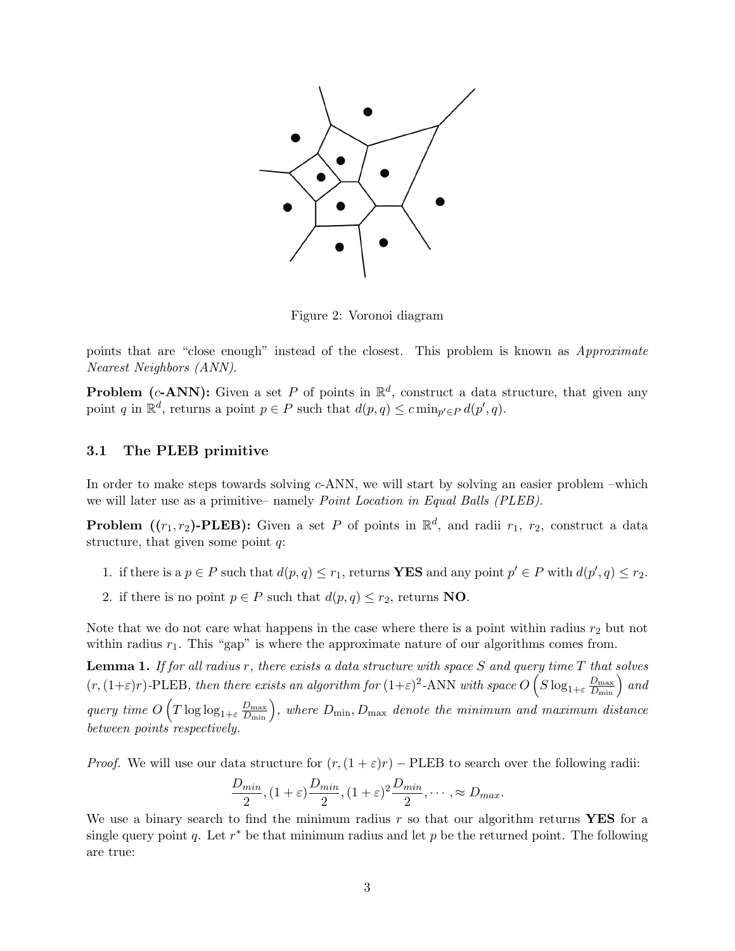

<span id="page-2-0"></span>Figure 2: Voronoi diagram

points that are "close enough" instead of the closest. This problem is known as Approximate Nearest Neighbors (ANN).

**Problem** (c-ANN): Given a set P of points in  $\mathbb{R}^d$ , construct a data structure, that given any point q in  $\mathbb{R}^d$ , returns a point  $p \in P$  such that  $d(p, q) \leq c \min_{p' \in P} d(p', q)$ .

#### 3.1 The PLEB primitive

In order to make steps towards solving c-ANN, we will start by solving an easier problem –which we will later use as a primitive– namely *Point Location in Equal Balls (PLEB)*.

**Problem** ( $(r_1, r_2)$ -PLEB): Given a set P of points in  $\mathbb{R}^d$ , and radii  $r_1$ ,  $r_2$ , construct a data structure, that given some point  $q$ :

- 1. if there is a  $p \in P$  such that  $d(p, q) \leq r_1$ , returns **YES** and any point  $p' \in P$  with  $d(p', q) \leq r_2$ .
- 2. if there is no point  $p \in P$  such that  $d(p, q) \leq r_2$ , returns **NO**.

Note that we do not care what happens in the case where there is a point within radius  $r_2$  but not within radius  $r_1$ . This "gap" is where the approximate nature of our algorithms comes from.

**Lemma 1.** If for all radius r, there exists a data structure with space  $S$  and query time  $T$  that solves  $(r,(1+\varepsilon)r)$ -PLEB, then there exists an algorithm for  $(1+\varepsilon)^2$ -ANN with space  $O(S \log_{1+\varepsilon} \frac{D_{\max}}{D_{\min}})$  and query time  $O(T \log \log_{1+\varepsilon} \frac{D_{\max}}{D_{\min}})$ , where  $D_{\min}$ ,  $D_{\max}$  denote the minimum and maximum distance between points respectively.

*Proof.* We will use our data structure for  $(r,(1+\varepsilon)r)$  – PLEB to search over the following radii:

$$
\frac{D_{min}}{2}, (1+\varepsilon)\frac{D_{min}}{2}, (1+\varepsilon)^2\frac{D_{min}}{2}, \cdots, \approx D_{max}.
$$

We use a binary search to find the minimum radius  $r$  so that our algorithm returns **YES** for a single query point q. Let  $r^*$  be that minimum radius and let p be the returned point. The following are true: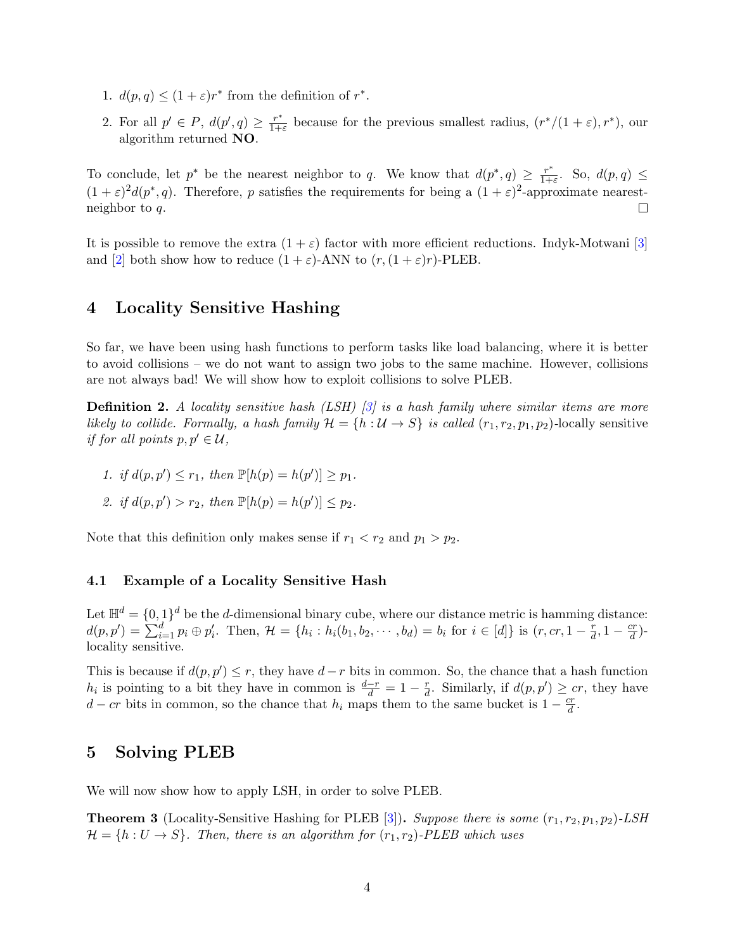- 1.  $d(p, q) \leq (1 + \varepsilon)r^*$  from the definition of  $r^*$ .
- 2. For all  $p' \in P$ ,  $d(p', q) \geq \frac{r^*}{1+r}$  $\frac{r^*}{1+\varepsilon}$  because for the previous smallest radius,  $(r^*/(1+\varepsilon), r^*)$ , our algorithm returned NO.

To conclude, let  $p^*$  be the nearest neighbor to q. We know that  $d(p^*,q) \geq \frac{r^*}{1+q}$  $\frac{r^*}{1+\varepsilon}$ . So,  $d(p,q) \leq$  $(1+\varepsilon)^2 d(p^*,q)$ . Therefore, p satisfies the requirements for being a  $(1+\varepsilon)^2$ -approximate nearestneighbor to q.  $\Box$ 

It is possible to remove the extra  $(1 + \varepsilon)$  factor with more efficient reductions. Indyk-Motwani [\[3\]](#page-5-1) and [\[2\]](#page-5-2) both show how to reduce  $(1 + \varepsilon)$ -ANN to  $(r, (1 + \varepsilon)r)$ -PLEB.

# 4 Locality Sensitive Hashing

So far, we have been using hash functions to perform tasks like load balancing, where it is better to avoid collisions – we do not want to assign two jobs to the same machine. However, collisions are not always bad! We will show how to exploit collisions to solve PLEB.

**Definition 2.** A locality sensitive hash  $(LSH)$  [\[3\]](#page-5-1) is a hash family where similar items are more likely to collide. Formally, a hash family  $\mathcal{H} = \{h : \mathcal{U} \to S\}$  is called  $(r_1, r_2, p_1, p_2)$ -locally sensitive if for all points  $p, p' \in U$ ,

- 1. if  $d(p, p') \leq r_1$ , then  $\mathbb{P}[h(p) = h(p')] \geq p_1$ .
- 2. if  $d(p, p') > r_2$ , then  $\mathbb{P}[h(p) = h(p')] \leq p_2$ .

Note that this definition only makes sense if  $r_1 < r_2$  and  $p_1 > p_2$ .

#### <span id="page-3-1"></span>4.1 Example of a Locality Sensitive Hash

Let  $\mathbb{H}^d = \{0,1\}^d$  be the d-dimensional binary cube, where our distance metric is hamming distance:  $d(p, p') = \sum_{i=1}^{d} p_i \oplus p'_i$ . Then,  $\mathcal{H} = \{h_i : h_i(b_1, b_2, \dots, b_d) = b_i \text{ for } i \in [d]\}$  is  $(r, cr, 1 - \frac{r}{d})$  $\frac{r}{d}$ , 1 –  $\frac{cr}{d}$  $\frac{cr}{d}$ )locality sensitive.

This is because if  $d(p, p') \leq r$ , they have  $d-r$  bits in common. So, the chance that a hash function  $h_i$  is pointing to a bit they have in common is  $\frac{d-r}{d} = 1 - \frac{r}{d}$  $\frac{r}{d}$ . Similarly, if  $d(p, p') \geq cr$ , they have  $d - cr$  bits in common, so the chance that  $h_i$  maps them to the same bucket is  $1 - \frac{cr}{d}$  $\frac{cr}{d}$  .

### 5 Solving PLEB

We will now show how to apply LSH, in order to solve PLEB.

<span id="page-3-0"></span>**Theorem 3** (Locality-Sensitive Hashing for PLEB [\[3\]](#page-5-1)). Suppose there is some  $(r_1, r_2, p_1, p_2)$ -LSH  $\mathcal{H} = \{h : U \to S\}$ . Then, there is an algorithm for  $(r_1, r_2)$ -PLEB which uses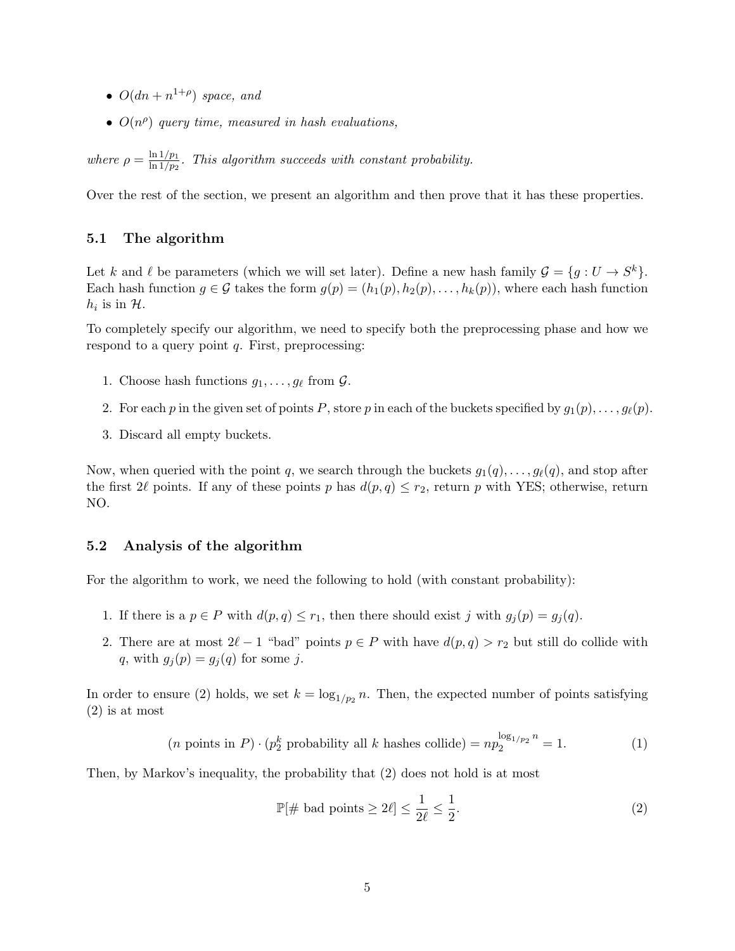- $O(dn + n^{1+\rho})$  space, and
- $O(n^{\rho})$  query time, measured in hash evaluations,

where  $\rho = \frac{\ln 1/p_1}{\ln 1/p_2}$  $\frac{\ln 1/p_1}{\ln 1/p_2}$ . This algorithm succeeds with constant probability.

Over the rest of the section, we present an algorithm and then prove that it has these properties.

#### 5.1 The algorithm

Let k and l be parameters (which we will set later). Define a new hash family  $\mathcal{G} = \{g : U \to S^k\}.$ Each hash function  $g \in \mathcal{G}$  takes the form  $g(p) = (h_1(p), h_2(p), \ldots, h_k(p))$ , where each hash function  $h_i$  is in  $H$ .

To completely specify our algorithm, we need to specify both the preprocessing phase and how we respond to a query point  $q$ . First, preprocessing:

- 1. Choose hash functions  $g_1, \ldots, g_\ell$  from  $\mathcal{G}$ .
- 2. For each p in the given set of points P, store p in each of the buckets specified by  $g_1(p), \ldots, g_\ell(p)$ .
- 3. Discard all empty buckets.

Now, when queried with the point q, we search through the buckets  $g_1(q), \ldots, g_\ell(q)$ , and stop after the first 2 $\ell$  points. If any of these points p has  $d(p, q) \leq r_2$ , return p with YES; otherwise, return NO.

#### 5.2 Analysis of the algorithm

For the algorithm to work, we need the following to hold (with constant probability):

- 1. If there is a  $p \in P$  with  $d(p, q) \leq r_1$ , then there should exist j with  $g_j(p) = g_j(q)$ .
- 2. There are at most  $2\ell 1$  "bad" points  $p \in P$  with have  $d(p, q) > r_2$  but still do collide with q, with  $g_j(p) = g_j(q)$  for some j.

In order to ensure (2) holds, we set  $k = \log_{1/p_2} n$ . Then, the expected number of points satisfying (2) is at most

$$
(n \text{ points in } P) \cdot (p_2^k \text{ probability all } k \text{ hashes collide}) = np_2^{\log_{1/p_2} n} = 1. \tag{1}
$$

Then, by Markov's inequality, the probability that (2) does not hold is at most

$$
\mathbb{P}[\#\text{ bad points} \ge 2\ell] \le \frac{1}{2\ell} \le \frac{1}{2}.\tag{2}
$$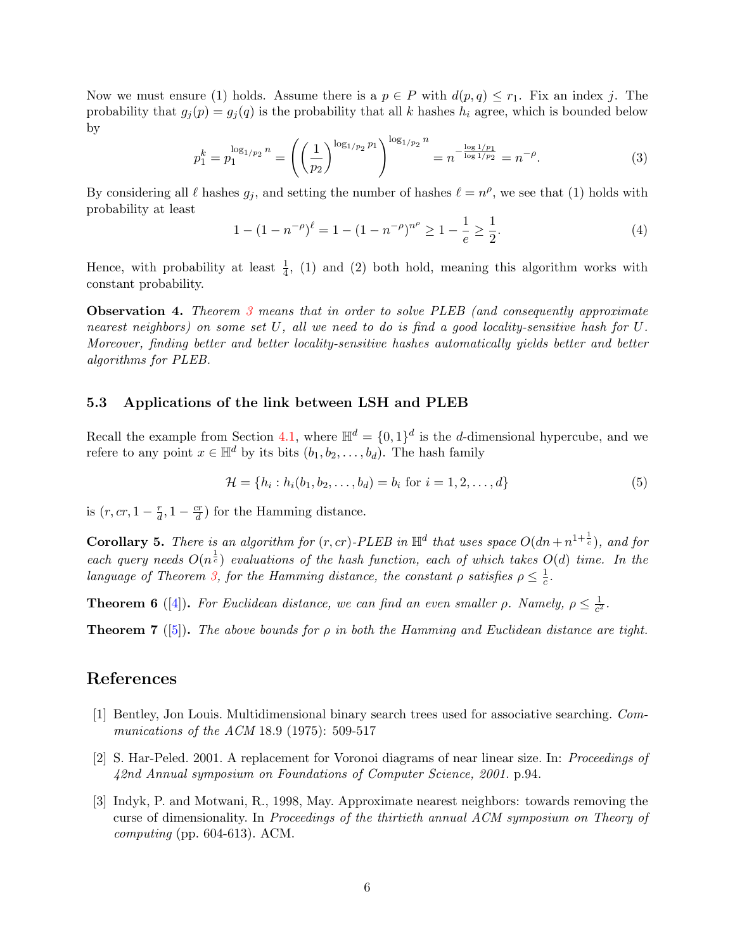Now we must ensure (1) holds. Assume there is a  $p \in P$  with  $d(p, q) \leq r_1$ . Fix an index j. The probability that  $g_i(p) = g_i(q)$  is the probability that all k hashes  $h_i$  agree, which is bounded below by

$$
p_1^k = p_1^{\log_{1/p_2} n} = \left( \left( \frac{1}{p_2} \right)^{\log_{1/p_2} p_1} \right)^{\log_{1/p_2} n} = n^{-\frac{\log 1/p_1}{\log 1/p_2}} = n^{-\rho}.
$$
 (3)

By considering all  $\ell$  hashes  $g_j$ , and setting the number of hashes  $\ell = n^{\rho}$ , we see that (1) holds with probability at least

$$
1 - (1 - n^{-\rho})^{\ell} = 1 - (1 - n^{-\rho})^{n^{\rho}} \ge 1 - \frac{1}{e} \ge \frac{1}{2}.
$$
\n(4)

Hence, with probability at least  $\frac{1}{4}$ , (1) and (2) both hold, meaning this algorithm works with constant probability.

**Observation 4.** Theorem [3](#page-3-0) means that in order to solve PLEB (and consequently approximate nearest neighbors) on some set U, all we need to do is find a good locality-sensitive hash for U. Moreover, finding better and better locality-sensitive hashes automatically yields better and better algorithms for PLEB.

### 5.3 Applications of the link between LSH and PLEB

Recall the example from Section [4.1,](#page-3-1) where  $\mathbb{H}^d = \{0,1\}^d$  is the d-dimensional hypercube, and we refere to any point  $x \in \mathbb{H}^d$  by its bits  $(b_1, b_2, \ldots, b_d)$ . The hash family

$$
\mathcal{H} = \{h_i : h_i(b_1, b_2, \dots, b_d) = b_i \text{ for } i = 1, 2, \dots, d\}
$$
\n(5)

is  $(r, cr, 1 - \frac{r}{d})$  $\frac{r}{d}$ , 1 –  $\frac{cr}{d}$  $\frac{cr}{d}$ ) for the Hamming distance.

**Corollary 5.** There is an algorithm for  $(r, cr)$ -PLEB in  $\mathbb{H}^d$  that uses space  $O(dn + n^{1+\frac{1}{c}})$ , and for each query needs  $O(n^{\frac{1}{c}})$  evaluations of the hash function, each of which takes  $O(d)$  time. In the language of Theorem [3,](#page-3-0) for the Hamming distance, the constant  $\rho$  satisfies  $\rho \leq \frac{1}{c}$  $\frac{1}{c}$ .

**Theorem 6** ([\[4\]](#page-6-0)). For Euclidean distance, we can find an even smaller  $\rho$ . Namely,  $\rho \leq \frac{1}{\epsilon^2}$  $\frac{1}{c^2}$ .

**Theorem 7** ([\[5\]](#page-6-1)). The above bounds for  $\rho$  in both the Hamming and Euclidean distance are tight.

# References

- <span id="page-5-0"></span>[1] Bentley, Jon Louis. Multidimensional binary search trees used for associative searching. Communications of the ACM 18.9 (1975): 509-517
- <span id="page-5-2"></span>[2] S. Har-Peled. 2001. A replacement for Voronoi diagrams of near linear size. In: Proceedings of 42nd Annual symposium on Foundations of Computer Science, 2001. p.94.
- <span id="page-5-1"></span>[3] Indyk, P. and Motwani, R., 1998, May. Approximate nearest neighbors: towards removing the curse of dimensionality. In Proceedings of the thirtieth annual ACM symposium on Theory of *computing* (pp.  $604-613$ ). ACM.